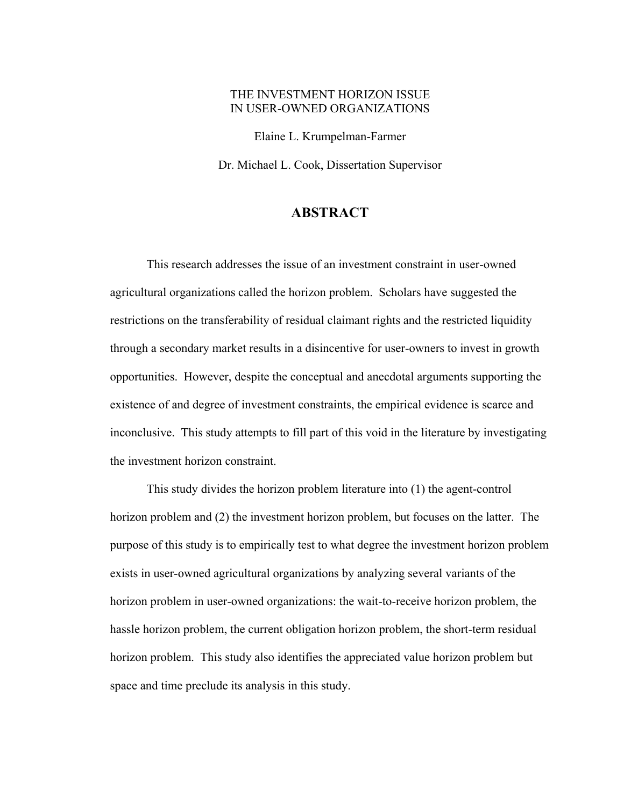## THE INVESTMENT HORIZON ISSUE IN USER-OWNED ORGANIZATIONS

Elaine L. Krumpelman-Farmer Dr. Michael L. Cook, Dissertation Supervisor

## **ABSTRACT**

 This research addresses the issue of an investment constraint in user-owned agricultural organizations called the horizon problem. Scholars have suggested the restrictions on the transferability of residual claimant rights and the restricted liquidity through a secondary market results in a disincentive for user-owners to invest in growth opportunities. However, despite the conceptual and anecdotal arguments supporting the existence of and degree of investment constraints, the empirical evidence is scarce and inconclusive. This study attempts to fill part of this void in the literature by investigating the investment horizon constraint.

 This study divides the horizon problem literature into (1) the agent-control horizon problem and (2) the investment horizon problem, but focuses on the latter. The purpose of this study is to empirically test to what degree the investment horizon problem exists in user-owned agricultural organizations by analyzing several variants of the horizon problem in user-owned organizations: the wait-to-receive horizon problem, the hassle horizon problem, the current obligation horizon problem, the short-term residual horizon problem. This study also identifies the appreciated value horizon problem but space and time preclude its analysis in this study.